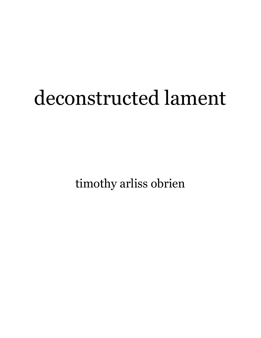## deconstructed lament

timothy arliss obrien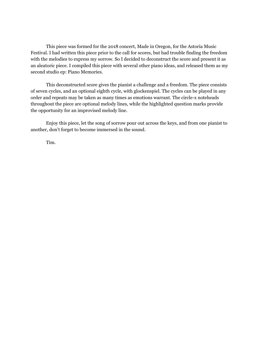This piece was formed for the 2018 concert, Made in Oregon, for the Astoria Music Festival. I had written this piece prior to the call for scores, but had trouble finding the freedom with the melodies to express my sorrow. So I decided to deconstruct the score and present it as an aleatoric piece. I compiled this piece with several other piano ideas, and released them as my second studio ep: Piano Memories.

This deconstructed score gives the pianist a challenge and a freedom. The piece consists of seven cycles, and an optional eighth cycle, with glockenspiel. The cycles can be played in any order and repeats may be taken as many times as emotions warrant. The circle-x noteheads throughout the piece are optional melody lines, while the highlighted question marks provide the opportunity for an improvised melody line.

Enjoy this piece, let the song of sorrow pour out across the keys, and from one pianist to another, don't forget to become immersed in the sound.

Tim.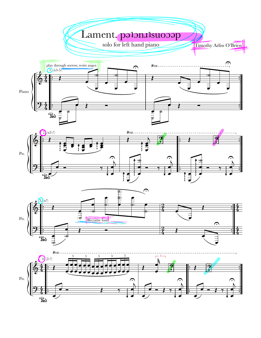